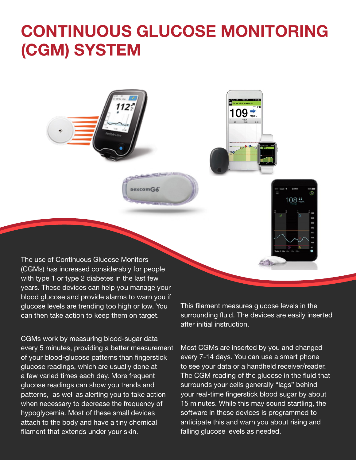## **CONTINUOUS GLUCOSE MONITORING (CGM) SYSTEM**

**DexcomG6** 

The use of Continuous Glucose Monitors (CGMs) has increased considerably for people with type 1 or type 2 diabetes in the last few years. These devices can help you manage your blood glucose and provide alarms to warn you if glucose levels are trending too high or low. You can then take action to keep them on target.

CGMs work by measuring blood-sugar data every 5 minutes, providing a better measurement of your blood-glucose patterns than fingerstick glucose readings, which are usually done at a few varied times each day. More frequent glucose readings can show you trends and patterns, as well as alerting you to take action when necessary to decrease the frequency of hypoglycemia. Most of these small devices attach to the body and have a tiny chemical filament that extends under your skin.

This filament measures glucose levels in the surrounding fluid. The devices are easily inserted after initial instruction.

 $108 +$ 

109 ₹

Most CGMs are inserted by you and changed every 7-14 days. You can use a smart phone to see your data or a handheld receiver/reader. The CGM reading of the glucose in the fluid that surrounds your cells generally "lags" behind your real-time fingerstick blood sugar by about 15 minutes. While this may sound startling, the software in these devices is programmed to anticipate this and warn you about rising and falling glucose levels as needed.